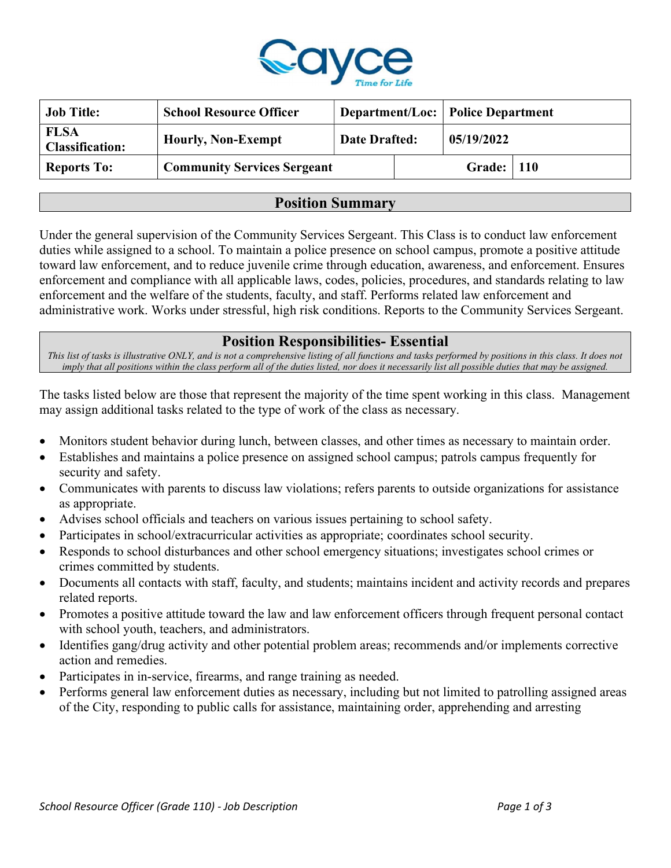

| <b>Job Title:</b>                     | <b>School Resource Officer</b>     |                      |  | <b>Department/Loc: Police Department</b> |  |
|---------------------------------------|------------------------------------|----------------------|--|------------------------------------------|--|
| <b>FLSA</b><br><b>Classification:</b> | <b>Hourly, Non-Exempt</b>          | <b>Date Drafted:</b> |  | 05/19/2022                               |  |
| <b>Reports To:</b>                    | <b>Community Services Sergeant</b> |                      |  | <b>Grade:</b>   110                      |  |

## Position Summary

Under the general supervision of the Community Services Sergeant. This Class is to conduct law enforcement duties while assigned to a school. To maintain a police presence on school campus, promote a positive attitude toward law enforcement, and to reduce juvenile crime through education, awareness, and enforcement. Ensures enforcement and compliance with all applicable laws, codes, policies, procedures, and standards relating to law enforcement and the welfare of the students, faculty, and staff. Performs related law enforcement and administrative work. Works under stressful, high risk conditions. Reports to the Community Services Sergeant.

## Position Responsibilities- Essential

This list of tasks is illustrative ONLY, and is not a comprehensive listing of all functions and tasks performed by positions in this class. It does not imply that all positions within the class perform all of the duties listed, nor does it necessarily list all possible duties that may be assigned.

The tasks listed below are those that represent the majority of the time spent working in this class. Management may assign additional tasks related to the type of work of the class as necessary.

- Monitors student behavior during lunch, between classes, and other times as necessary to maintain order.
- Establishes and maintains a police presence on assigned school campus; patrols campus frequently for security and safety.
- Communicates with parents to discuss law violations; refers parents to outside organizations for assistance as appropriate.
- Advises school officials and teachers on various issues pertaining to school safety.
- Participates in school/extracurricular activities as appropriate; coordinates school security.
- Responds to school disturbances and other school emergency situations; investigates school crimes or crimes committed by students.
- Documents all contacts with staff, faculty, and students; maintains incident and activity records and prepares related reports.
- Promotes a positive attitude toward the law and law enforcement officers through frequent personal contact with school youth, teachers, and administrators.
- Identifies gang/drug activity and other potential problem areas; recommends and/or implements corrective action and remedies.
- Participates in in-service, firearms, and range training as needed.
- Performs general law enforcement duties as necessary, including but not limited to patrolling assigned areas of the City, responding to public calls for assistance, maintaining order, apprehending and arresting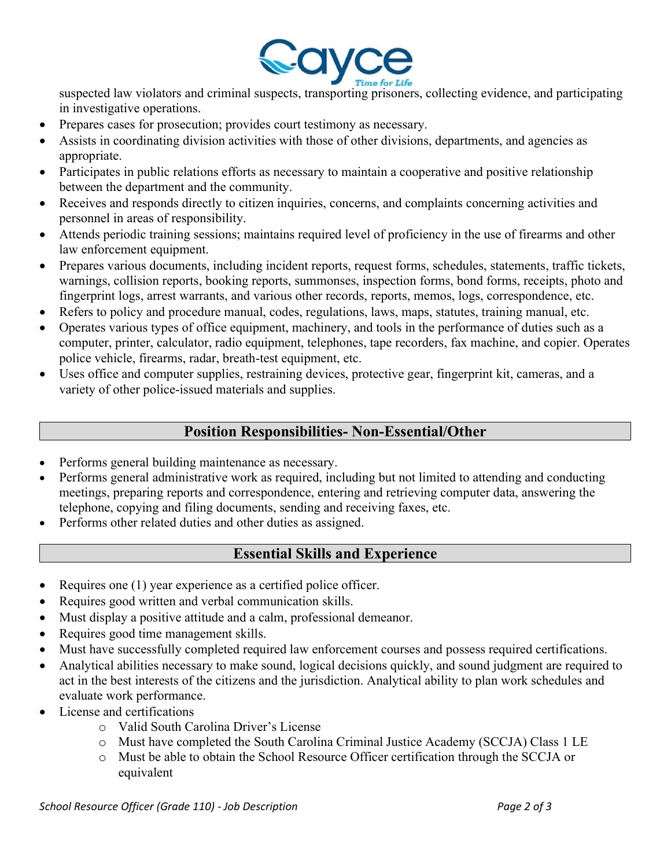

suspected law violators and criminal suspects, transporting prisoners, collecting evidence, and participating in investigative operations.

- Prepares cases for prosecution; provides court testimony as necessary.
- Assists in coordinating division activities with those of other divisions, departments, and agencies as appropriate.
- Participates in public relations efforts as necessary to maintain a cooperative and positive relationship between the department and the community.
- Receives and responds directly to citizen inquiries, concerns, and complaints concerning activities and personnel in areas of responsibility.
- Attends periodic training sessions; maintains required level of proficiency in the use of firearms and other law enforcement equipment.
- Prepares various documents, including incident reports, request forms, schedules, statements, traffic tickets, warnings, collision reports, booking reports, summonses, inspection forms, bond forms, receipts, photo and fingerprint logs, arrest warrants, and various other records, reports, memos, logs, correspondence, etc.
- Refers to policy and procedure manual, codes, regulations, laws, maps, statutes, training manual, etc.
- Operates various types of office equipment, machinery, and tools in the performance of duties such as a computer, printer, calculator, radio equipment, telephones, tape recorders, fax machine, and copier. Operates police vehicle, firearms, radar, breath-test equipment, etc.
- Uses office and computer supplies, restraining devices, protective gear, fingerprint kit, cameras, and a variety of other police-issued materials and supplies.

## Position Responsibilities- Non-Essential/Other

- Performs general building maintenance as necessary.
- Performs general administrative work as required, including but not limited to attending and conducting meetings, preparing reports and correspondence, entering and retrieving computer data, answering the telephone, copying and filing documents, sending and receiving faxes, etc.
- Performs other related duties and other duties as assigned.

# Essential Skills and Experience

- Requires one  $(1)$  year experience as a certified police officer.
- Requires good written and verbal communication skills.
- Must display a positive attitude and a calm, professional demeanor.
- Requires good time management skills.
- Must have successfully completed required law enforcement courses and possess required certifications.
- Analytical abilities necessary to make sound, logical decisions quickly, and sound judgment are required to act in the best interests of the citizens and the jurisdiction. Analytical ability to plan work schedules and evaluate work performance.
- License and certifications
	- o Valid South Carolina Driver's License
	- o Must have completed the South Carolina Criminal Justice Academy (SCCJA) Class 1 LE
	- o Must be able to obtain the School Resource Officer certification through the SCCJA or equivalent